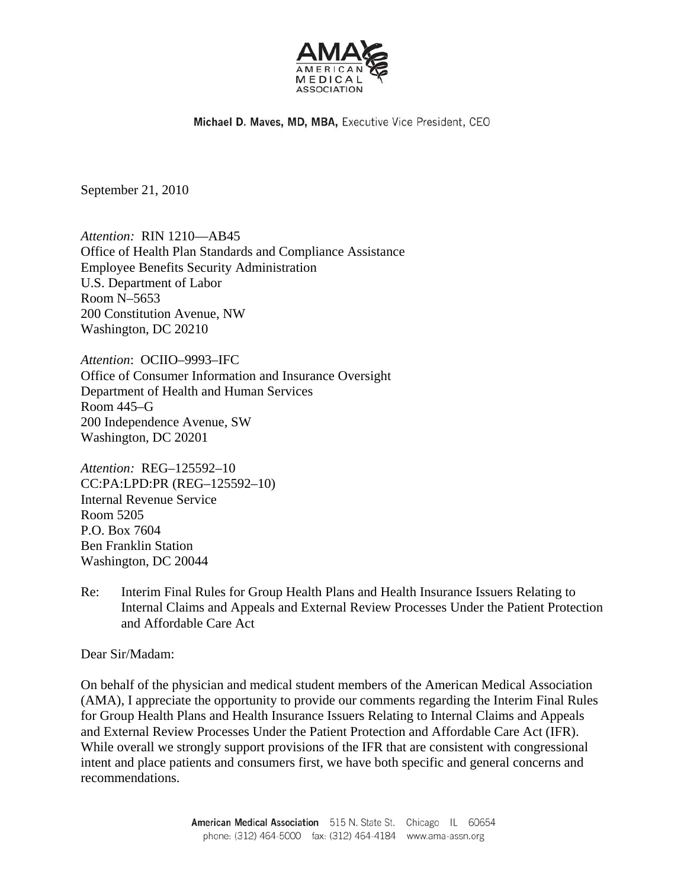

Michael D. Maves, MD, MBA, Executive Vice President, CEO

September 21, 2010

*Attention:* RIN 1210—AB45 Office of Health Plan Standards and Compliance Assistance Employee Benefits Security Administration U.S. Department of Labor Room N–5653 200 Constitution Avenue, NW Washington, DC 20210

*Attention*: OCIIO–9993–IFC Office of Consumer Information and Insurance Oversight Department of Health and Human Services Room 445–G 200 Independence Avenue, SW Washington, DC 20201

*Attention:* REG–125592–10 CC:PA:LPD:PR (REG–125592–10) Internal Revenue Service Room 5205 P.O. Box 7604 Ben Franklin Station Washington, DC 20044

Re: Interim Final Rules for Group Health Plans and Health Insurance Issuers Relating to Internal Claims and Appeals and External Review Processes Under the Patient Protection and Affordable Care Act

Dear Sir/Madam:

On behalf of the physician and medical student members of the American Medical Association (AMA), I appreciate the opportunity to provide our comments regarding the Interim Final Rules for Group Health Plans and Health Insurance Issuers Relating to Internal Claims and Appeals and External Review Processes Under the Patient Protection and Affordable Care Act (IFR). While overall we strongly support provisions of the IFR that are consistent with congressional intent and place patients and consumers first, we have both specific and general concerns and recommendations.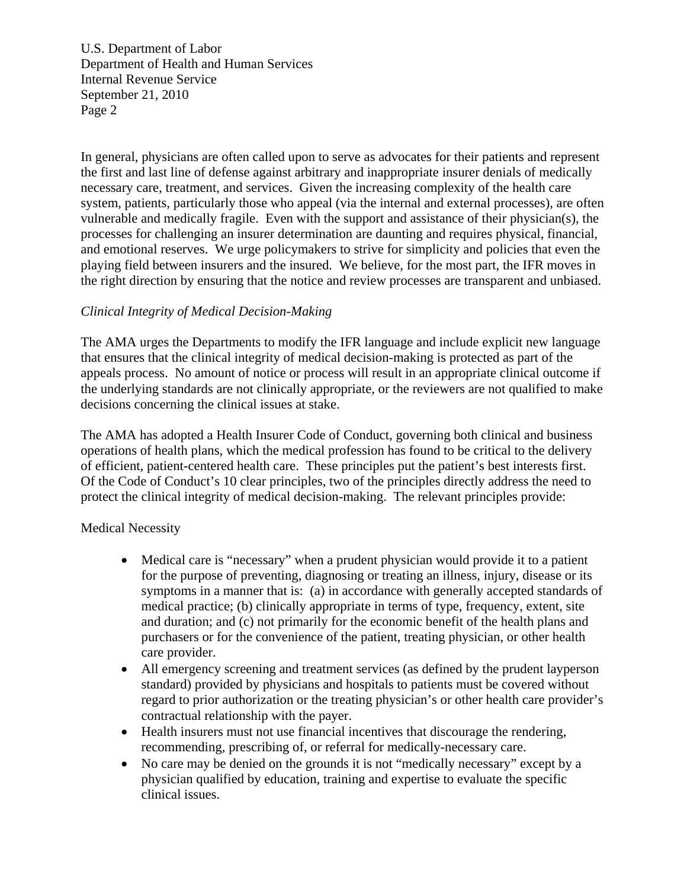In general, physicians are often called upon to serve as advocates for their patients and represent the first and last line of defense against arbitrary and inappropriate insurer denials of medically necessary care, treatment, and services. Given the increasing complexity of the health care system, patients, particularly those who appeal (via the internal and external processes), are often vulnerable and medically fragile. Even with the support and assistance of their physician(s), the processes for challenging an insurer determination are daunting and requires physical, financial, and emotional reserves. We urge policymakers to strive for simplicity and policies that even the playing field between insurers and the insured. We believe, for the most part, the IFR moves in the right direction by ensuring that the notice and review processes are transparent and unbiased.

### *Clinical Integrity of Medical Decision-Making*

The AMA urges the Departments to modify the IFR language and include explicit new language that ensures that the clinical integrity of medical decision-making is protected as part of the appeals process. No amount of notice or process will result in an appropriate clinical outcome if the underlying standards are not clinically appropriate, or the reviewers are not qualified to make decisions concerning the clinical issues at stake.

The AMA has adopted a Health Insurer Code of Conduct, governing both clinical and business operations of health plans, which the medical profession has found to be critical to the delivery of efficient, patient-centered health care. These principles put the patient's best interests first. Of the Code of Conduct's 10 clear principles, two of the principles directly address the need to protect the clinical integrity of medical decision-making. The relevant principles provide:

### Medical Necessity

- Medical care is "necessary" when a prudent physician would provide it to a patient for the purpose of preventing, diagnosing or treating an illness, injury, disease or its symptoms in a manner that is: (a) in accordance with generally accepted standards of medical practice; (b) clinically appropriate in terms of type, frequency, extent, site and duration; and (c) not primarily for the economic benefit of the health plans and purchasers or for the convenience of the patient, treating physician, or other health care provider.
- All emergency screening and treatment services (as defined by the prudent layperson standard) provided by physicians and hospitals to patients must be covered without regard to prior authorization or the treating physician's or other health care provider's contractual relationship with the payer.
- Health insurers must not use financial incentives that discourage the rendering, recommending, prescribing of, or referral for medically-necessary care.
- No care may be denied on the grounds it is not "medically necessary" except by a physician qualified by education, training and expertise to evaluate the specific clinical issues.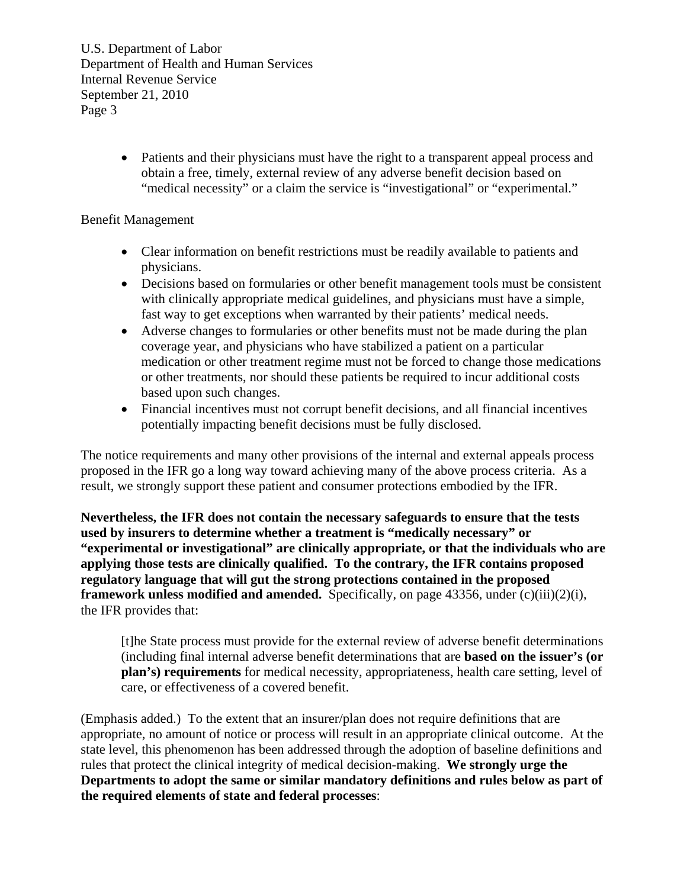> • Patients and their physicians must have the right to a transparent appeal process and obtain a free, timely, external review of any adverse benefit decision based on "medical necessity" or a claim the service is "investigational" or "experimental."

# Benefit Management

- Clear information on benefit restrictions must be readily available to patients and physicians.
- Decisions based on formularies or other benefit management tools must be consistent with clinically appropriate medical guidelines, and physicians must have a simple, fast way to get exceptions when warranted by their patients' medical needs.
- Adverse changes to formularies or other benefits must not be made during the plan coverage year, and physicians who have stabilized a patient on a particular medication or other treatment regime must not be forced to change those medications or other treatments, nor should these patients be required to incur additional costs based upon such changes.
- Financial incentives must not corrupt benefit decisions, and all financial incentives potentially impacting benefit decisions must be fully disclosed.

The notice requirements and many other provisions of the internal and external appeals process proposed in the IFR go a long way toward achieving many of the above process criteria. As a result, we strongly support these patient and consumer protections embodied by the IFR.

**Nevertheless, the IFR does not contain the necessary safeguards to ensure that the tests used by insurers to determine whether a treatment is "medically necessary" or "experimental or investigational" are clinically appropriate, or that the individuals who are applying those tests are clinically qualified. To the contrary, the IFR contains proposed regulatory language that will gut the strong protections contained in the proposed framework unless modified and amended.** Specifically, on page 43356, under (c)(iii)(2)(i), the IFR provides that:

[t]he State process must provide for the external review of adverse benefit determinations (including final internal adverse benefit determinations that are **based on the issuer's (or plan's) requirements** for medical necessity, appropriateness, health care setting, level of care, or effectiveness of a covered benefit.

(Emphasis added.) To the extent that an insurer/plan does not require definitions that are appropriate, no amount of notice or process will result in an appropriate clinical outcome. At the state level, this phenomenon has been addressed through the adoption of baseline definitions and rules that protect the clinical integrity of medical decision-making. **We strongly urge the Departments to adopt the same or similar mandatory definitions and rules below as part of the required elements of state and federal processes**: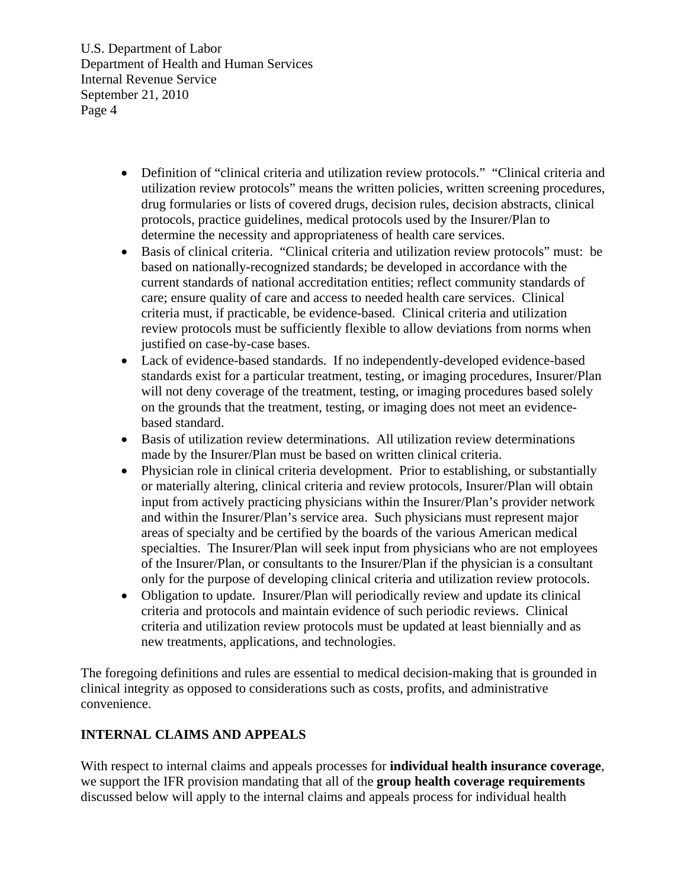- Definition of "clinical criteria and utilization review protocols." "Clinical criteria and utilization review protocols" means the written policies, written screening procedures, drug formularies or lists of covered drugs, decision rules, decision abstracts, clinical protocols, practice guidelines, medical protocols used by the Insurer/Plan to determine the necessity and appropriateness of health care services.
- Basis of clinical criteria. "Clinical criteria and utilization review protocols" must: be based on nationally-recognized standards; be developed in accordance with the current standards of national accreditation entities; reflect community standards of care; ensure quality of care and access to needed health care services. Clinical criteria must, if practicable, be evidence-based. Clinical criteria and utilization review protocols must be sufficiently flexible to allow deviations from norms when justified on case-by-case bases.
- Lack of evidence-based standards. If no independently-developed evidence-based standards exist for a particular treatment, testing, or imaging procedures, Insurer/Plan will not deny coverage of the treatment, testing, or imaging procedures based solely on the grounds that the treatment, testing, or imaging does not meet an evidencebased standard.
- Basis of utilization review determinations. All utilization review determinations made by the Insurer/Plan must be based on written clinical criteria.
- Physician role in clinical criteria development. Prior to establishing, or substantially or materially altering, clinical criteria and review protocols, Insurer/Plan will obtain input from actively practicing physicians within the Insurer/Plan's provider network and within the Insurer/Plan's service area. Such physicians must represent major areas of specialty and be certified by the boards of the various American medical specialties. The Insurer/Plan will seek input from physicians who are not employees of the Insurer/Plan, or consultants to the Insurer/Plan if the physician is a consultant only for the purpose of developing clinical criteria and utilization review protocols.
- Obligation to update. Insurer/Plan will periodically review and update its clinical criteria and protocols and maintain evidence of such periodic reviews. Clinical criteria and utilization review protocols must be updated at least biennially and as new treatments, applications, and technologies.

The foregoing definitions and rules are essential to medical decision-making that is grounded in clinical integrity as opposed to considerations such as costs, profits, and administrative convenience.

# **INTERNAL CLAIMS AND APPEALS**

With respect to internal claims and appeals processes for **individual health insurance coverage**, we support the IFR provision mandating that all of the **group health coverage requirements**  discussed below will apply to the internal claims and appeals process for individual health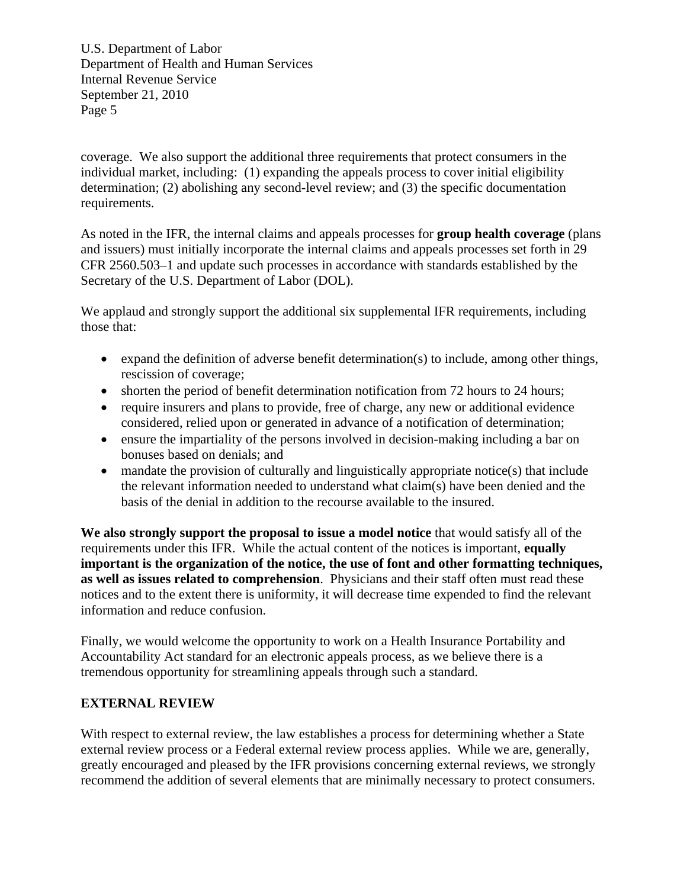coverage. We also support the additional three requirements that protect consumers in the individual market, including: (1) expanding the appeals process to cover initial eligibility determination; (2) abolishing any second-level review; and (3) the specific documentation requirements.

As noted in the IFR, the internal claims and appeals processes for **group health coverage** (plans and issuers) must initially incorporate the internal claims and appeals processes set forth in 29 CFR 2560.503–1 and update such processes in accordance with standards established by the Secretary of the U.S. Department of Labor (DOL).

We applaud and strongly support the additional six supplemental IFR requirements, including those that:

- expand the definition of adverse benefit determination(s) to include, among other things, rescission of coverage;
- shorten the period of benefit determination notification from 72 hours to 24 hours;
- require insurers and plans to provide, free of charge, any new or additional evidence considered, relied upon or generated in advance of a notification of determination;
- ensure the impartiality of the persons involved in decision-making including a bar on bonuses based on denials; and
- mandate the provision of culturally and linguistically appropriate notice(s) that include the relevant information needed to understand what claim(s) have been denied and the basis of the denial in addition to the recourse available to the insured.

**We also strongly support the proposal to issue a model notice** that would satisfy all of the requirements under this IFR. While the actual content of the notices is important, **equally important is the organization of the notice, the use of font and other formatting techniques, as well as issues related to comprehension**. Physicians and their staff often must read these notices and to the extent there is uniformity, it will decrease time expended to find the relevant information and reduce confusion.

Finally, we would welcome the opportunity to work on a Health Insurance Portability and Accountability Act standard for an electronic appeals process, as we believe there is a tremendous opportunity for streamlining appeals through such a standard.

# **EXTERNAL REVIEW**

With respect to external review, the law establishes a process for determining whether a State external review process or a Federal external review process applies. While we are, generally, greatly encouraged and pleased by the IFR provisions concerning external reviews, we strongly recommend the addition of several elements that are minimally necessary to protect consumers.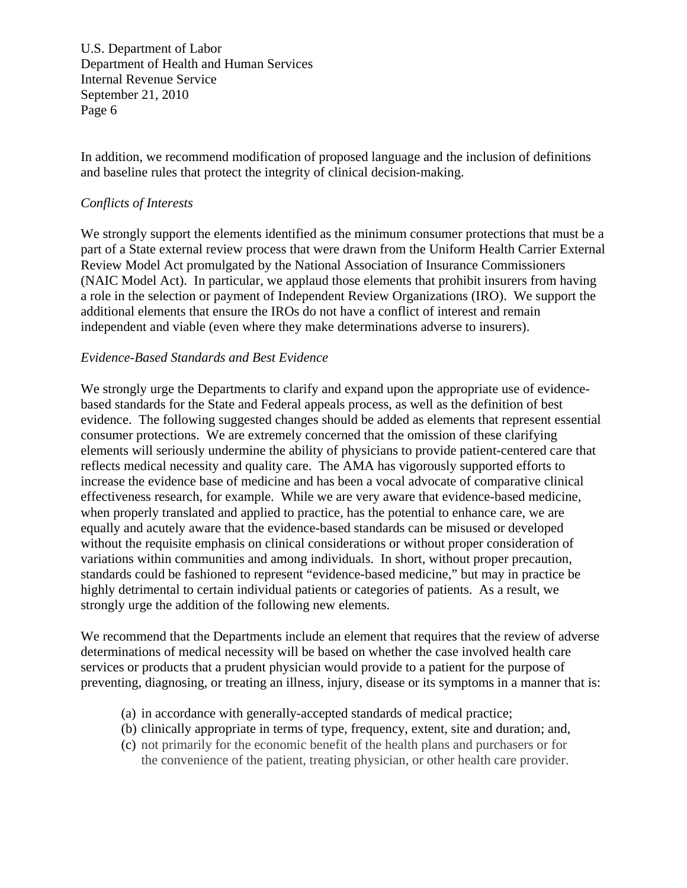In addition, we recommend modification of proposed language and the inclusion of definitions and baseline rules that protect the integrity of clinical decision-making.

### *Conflicts of Interests*

We strongly support the elements identified as the minimum consumer protections that must be a part of a State external review process that were drawn from the Uniform Health Carrier External Review Model Act promulgated by the National Association of Insurance Commissioners (NAIC Model Act). In particular, we applaud those elements that prohibit insurers from having a role in the selection or payment of Independent Review Organizations (IRO). We support the additional elements that ensure the IROs do not have a conflict of interest and remain independent and viable (even where they make determinations adverse to insurers).

#### *Evidence-Based Standards and Best Evidence*

We strongly urge the Departments to clarify and expand upon the appropriate use of evidencebased standards for the State and Federal appeals process, as well as the definition of best evidence. The following suggested changes should be added as elements that represent essential consumer protections. We are extremely concerned that the omission of these clarifying elements will seriously undermine the ability of physicians to provide patient-centered care that reflects medical necessity and quality care. The AMA has vigorously supported efforts to increase the evidence base of medicine and has been a vocal advocate of comparative clinical effectiveness research, for example. While we are very aware that evidence-based medicine, when properly translated and applied to practice, has the potential to enhance care, we are equally and acutely aware that the evidence-based standards can be misused or developed without the requisite emphasis on clinical considerations or without proper consideration of variations within communities and among individuals. In short, without proper precaution, standards could be fashioned to represent "evidence-based medicine," but may in practice be highly detrimental to certain individual patients or categories of patients. As a result, we strongly urge the addition of the following new elements.

We recommend that the Departments include an element that requires that the review of adverse determinations of medical necessity will be based on whether the case involved health care services or products that a prudent physician would provide to a patient for the purpose of preventing, diagnosing, or treating an illness, injury, disease or its symptoms in a manner that is:

- (a) in accordance with generally-accepted standards of medical practice;
- (b) clinically appropriate in terms of type, frequency, extent, site and duration; and,
- (c) not primarily for the economic benefit of the health plans and purchasers or for the convenience of the patient, treating physician, or other health care provider.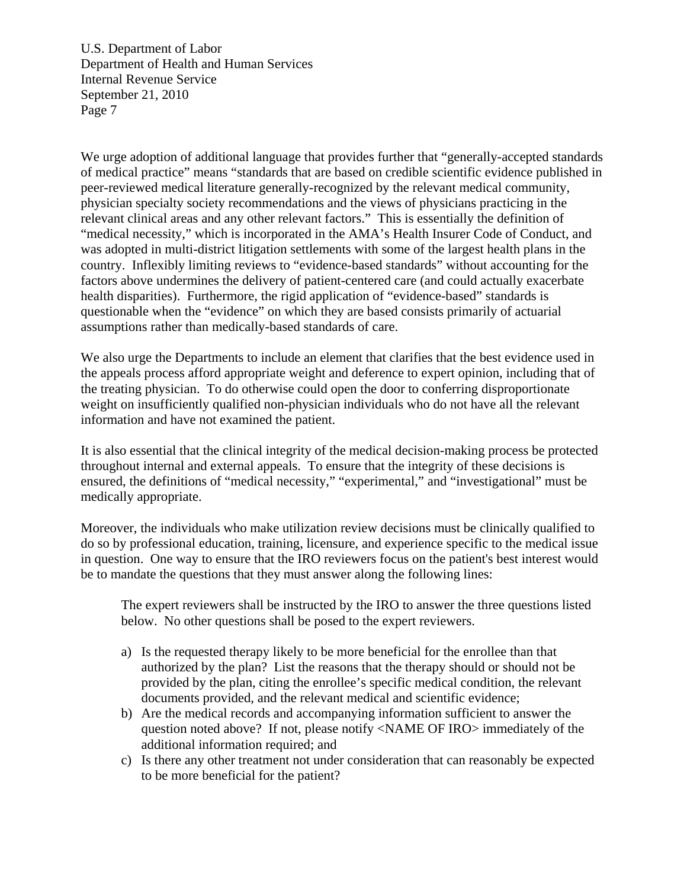We urge adoption of additional language that provides further that "generally-accepted standards of medical practice" means "standards that are based on credible scientific evidence published in peer-reviewed medical literature generally-recognized by the relevant medical community, physician specialty society recommendations and the views of physicians practicing in the relevant clinical areas and any other relevant factors." This is essentially the definition of "medical necessity," which is incorporated in the AMA's Health Insurer Code of Conduct, and was adopted in multi-district litigation settlements with some of the largest health plans in the country. Inflexibly limiting reviews to "evidence-based standards" without accounting for the factors above undermines the delivery of patient-centered care (and could actually exacerbate health disparities). Furthermore, the rigid application of "evidence-based" standards is questionable when the "evidence" on which they are based consists primarily of actuarial assumptions rather than medically-based standards of care.

We also urge the Departments to include an element that clarifies that the best evidence used in the appeals process afford appropriate weight and deference to expert opinion, including that of the treating physician. To do otherwise could open the door to conferring disproportionate weight on insufficiently qualified non-physician individuals who do not have all the relevant information and have not examined the patient.

It is also essential that the clinical integrity of the medical decision-making process be protected throughout internal and external appeals. To ensure that the integrity of these decisions is ensured, the definitions of "medical necessity," "experimental," and "investigational" must be medically appropriate.

Moreover, the individuals who make utilization review decisions must be clinically qualified to do so by professional education, training, licensure, and experience specific to the medical issue in question. One way to ensure that the IRO reviewers focus on the patient's best interest would be to mandate the questions that they must answer along the following lines:

The expert reviewers shall be instructed by the IRO to answer the three questions listed below. No other questions shall be posed to the expert reviewers.

- a) Is the requested therapy likely to be more beneficial for the enrollee than that authorized by the plan? List the reasons that the therapy should or should not be provided by the plan, citing the enrollee's specific medical condition, the relevant documents provided, and the relevant medical and scientific evidence;
- b) Are the medical records and accompanying information sufficient to answer the question noted above? If not, please notify <NAME OF IRO> immediately of the additional information required; and
- c) Is there any other treatment not under consideration that can reasonably be expected to be more beneficial for the patient?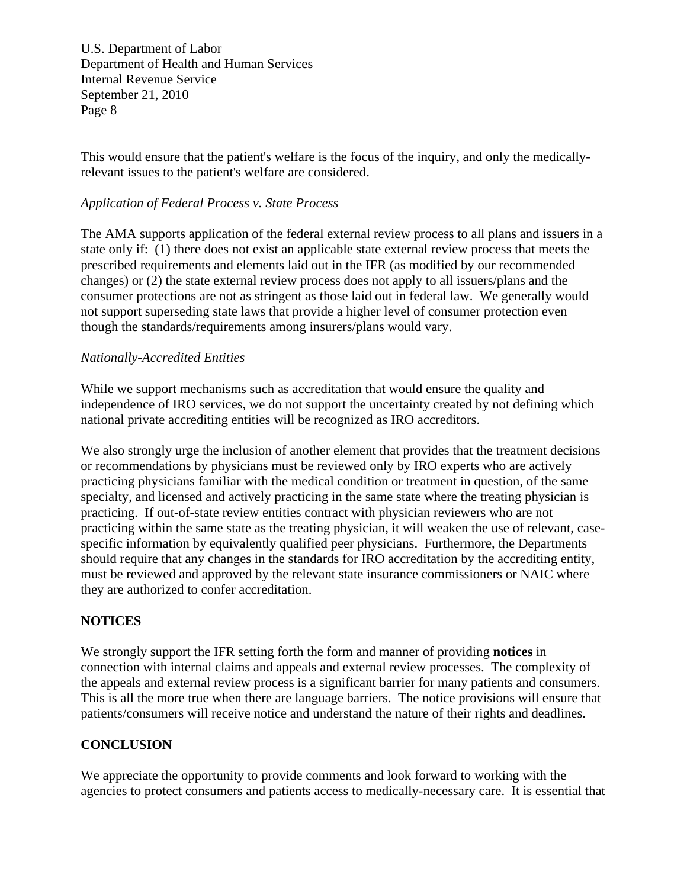This would ensure that the patient's welfare is the focus of the inquiry, and only the medicallyrelevant issues to the patient's welfare are considered.

# *Application of Federal Process v. State Process*

The AMA supports application of the federal external review process to all plans and issuers in a state only if: (1) there does not exist an applicable state external review process that meets the prescribed requirements and elements laid out in the IFR (as modified by our recommended changes) or (2) the state external review process does not apply to all issuers/plans and the consumer protections are not as stringent as those laid out in federal law. We generally would not support superseding state laws that provide a higher level of consumer protection even though the standards/requirements among insurers/plans would vary.

# *Nationally-Accredited Entities*

While we support mechanisms such as accreditation that would ensure the quality and independence of IRO services, we do not support the uncertainty created by not defining which national private accrediting entities will be recognized as IRO accreditors.

We also strongly urge the inclusion of another element that provides that the treatment decisions or recommendations by physicians must be reviewed only by IRO experts who are actively practicing physicians familiar with the medical condition or treatment in question, of the same specialty, and licensed and actively practicing in the same state where the treating physician is practicing. If out-of-state review entities contract with physician reviewers who are not practicing within the same state as the treating physician, it will weaken the use of relevant, casespecific information by equivalently qualified peer physicians. Furthermore, the Departments should require that any changes in the standards for IRO accreditation by the accrediting entity, must be reviewed and approved by the relevant state insurance commissioners or NAIC where they are authorized to confer accreditation.

### **NOTICES**

We strongly support the IFR setting forth the form and manner of providing **notices** in connection with internal claims and appeals and external review processes. The complexity of the appeals and external review process is a significant barrier for many patients and consumers. This is all the more true when there are language barriers. The notice provisions will ensure that patients/consumers will receive notice and understand the nature of their rights and deadlines.

# **CONCLUSION**

We appreciate the opportunity to provide comments and look forward to working with the agencies to protect consumers and patients access to medically-necessary care. It is essential that